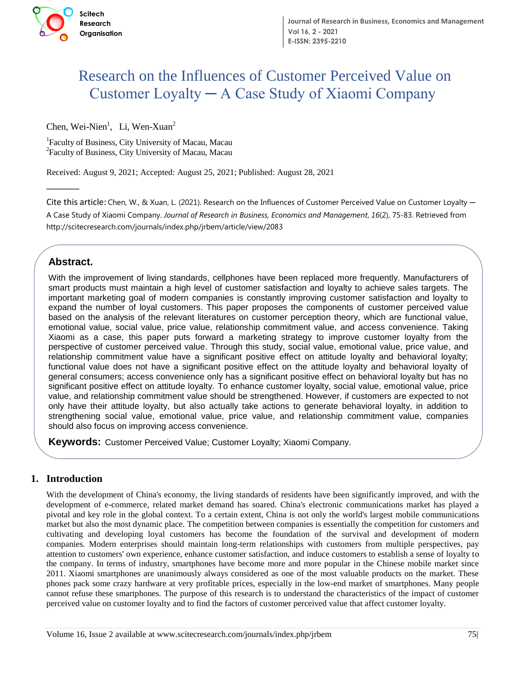

# Research on the Influences of Customer Perceived Value on Customer Loyalty ─ A Case Study of Xiaomi Company

Chen, Wei-Nien<sup>1</sup>, Li, Wen-Xuan<sup>2</sup>

<sup>1</sup>Faculty of Business, City University of Macau, Macau <sup>2</sup> Faculty of Business, City University of Macau, Macau

Received: August 9, 2021; Accepted: August 25, 2021; Published: August 28, 2021

 **ISSN**  $\mathbf{S} = \mathbf{S}$  **is the contract of the contract of the contract of the contract of the contract of the contract of the contract of the contract of the contract of the contract of the contract of the contract of the** 

Cite this article: Chen, W., & Xuan, L. (2021). Research on the Influences of Customer Perceived Value on Customer Loyalty ─ A Case Study of Xiaomi Company. *Journal of Research in Business, Economics and Management*, *16*(2), 75-83. Retrieved from http://scitecresearch.com/journals/index.php/jrbem/article/view/2083

# **Abstract Abstract.**

 $\overline{\phantom{a}}$ 

important marketing goal of modern companies is constantly improving customer satisfaction and loyalty to important marketing goal of modern companies is constantly improving customer satisfaction and loyalty to With the improvement of living standards, cellphones have been replaced more frequently. Manufacturers of smart products must maintain a high level of customer satisfaction and loyalty to achieve sales targets. The expand the number of loyal customers. This paper proposes the components of customer perceived value based on the analysis of the relevant literatures on customer perception theory, which are functional value, emotional value, social value, price value, relationship commitment value, and access convenience. Taking Xiaomi as a case, this paper puts forward a marketing strategy to improve customer loyalty from the perspective of customer perceived value. Through this study, social value, emotional value, price value, and relationship commitment value have a significant positive effect on attitude loyalty and behavioral loyalty; functional value does not have a significant positive effect on the attitude loyalty and behavioral loyalty of general consumers; access convenience only has a significant positive effect on behavioral loyalty but has no significant positive effect on attitude loyalty. To enhance customer loyalty, social value, emotional value, price value, and relationship commitment value should be strengthened. However, if customers are expected to not only have their attitude loyalty, but also actually take actions to generate behavioral loyalty, in addition to strengthening social value, emotional value, price value, and relationship commitment value, companies should also focus on improving access convenience.

**Keywords:** Customer Perceived Value; Customer Loyalty; Xiaomi Company.

# **1. Introduction**

With the development of China's economy, the living standards of residents have been significantly improved, and with the development of e-commerce, related market demand has soared. China's electronic communications market has played a pivotal and key role in the global context. To a certain extent, China is not only the world's largest mobile communications market but also the most dynamic place. The competition between companies is essentially the competition for customers and cultivating and developing loyal customers has become the foundation of the survival and development of modern companies. Modern enterprises should maintain long-term relationships with customers from multiple perspectives, pay attention to customers' own experience, enhance customer satisfaction, and induce customers to establish a sense of loyalty to the company. In terms of industry, smartphones have become more and more popular in the Chinese mobile market since 2011. Xiaomi smartphones are unanimously always considered as one of the most valuable products on the market. These phones pack some crazy hardware at very profitable prices, especially in the low-end market of smartphones. Many people cannot refuse these smartphones. The purpose of this research is to understand the characteristics of the impact of customer perceived value on customer loyalty and to find the factors of customer perceived value that affect customer loyalty.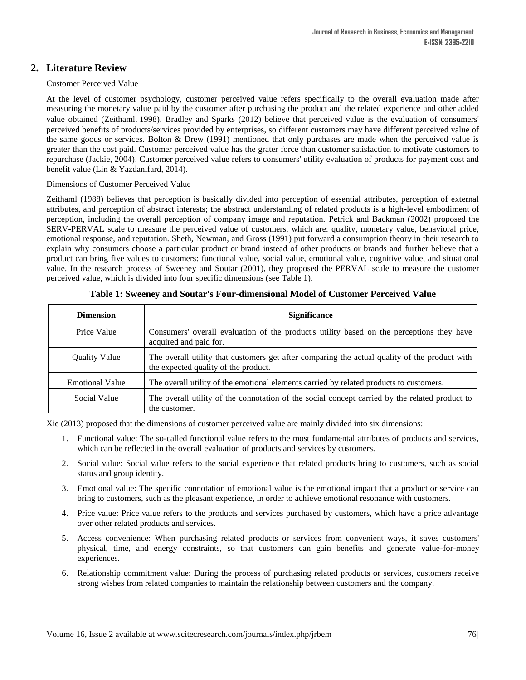# **2. Literature Review**

#### Customer Perceived Value

At the level of customer psychology, customer perceived value refers specifically to the overall evaluation made after measuring the monetary value paid by the customer after purchasing the product and the related experience and other added value obtained (Zeithaml,1998). Bradley and Sparks (2012) believe that perceived value is the evaluation of consumers' perceived benefits of products/services provided by enterprises, so different customers may have different perceived value of the same goods or services. Bolton & Drew (1991) mentioned that only purchases are made when the perceived value is greater than the cost paid. Customer perceived value has the grater force than customer satisfaction to motivate customers to repurchase (Jackie, 2004). Customer perceived value refers to consumers' utility evaluation of products for payment cost and benefit value (Lin & Yazdanifard, 2014).

#### Dimensions of Customer Perceived Value

Zeithaml (1988) believes that perception is basically divided into perception of essential attributes, perception of external attributes, and perception of abstract interests; the abstract understanding of related products is a high-level embodiment of perception, including the overall perception of company image and reputation. Petrick and Backman (2002) proposed the SERV-PERVAL scale to measure the perceived value of customers, which are: quality, monetary value, behavioral price, emotional response, and reputation. Sheth, Newman, and Gross (1991) put forward a consumption theory in their research to explain why consumers choose a particular product or brand instead of other products or brands and further believe that a product can bring five values to customers: functional value, social value, emotional value, cognitive value, and situational value. In the research process of Sweeney and Soutar (2001), they proposed the PERVAL scale to measure the customer perceived value, which is divided into four specific dimensions (see Table 1).

| <b>Dimension</b>       | <b>Significance</b>                                                                                                                   |
|------------------------|---------------------------------------------------------------------------------------------------------------------------------------|
| Price Value            | Consumers' overall evaluation of the product's utility based on the perceptions they have<br>acquired and paid for.                   |
| <b>Quality Value</b>   | The overall utility that customers get after comparing the actual quality of the product with<br>the expected quality of the product. |
| <b>Emotional Value</b> | The overall utility of the emotional elements carried by related products to customers.                                               |
| Social Value           | The overall utility of the connotation of the social concept carried by the related product to<br>the customer.                       |

## **Table 1: Sweeney and Soutar's Four-dimensional Model of Customer Perceived Value**

Xie (2013) proposed that the dimensions of customer perceived value are mainly divided into six dimensions:

- 1. Functional value: The so-called functional value refers to the most fundamental attributes of products and services, which can be reflected in the overall evaluation of products and services by customers.
- 2. Social value: Social value refers to the social experience that related products bring to customers, such as social status and group identity.
- 3. Emotional value: The specific connotation of emotional value is the emotional impact that a product or service can bring to customers, such as the pleasant experience, in order to achieve emotional resonance with customers.
- 4. Price value: Price value refers to the products and services purchased by customers, which have a price advantage over other related products and services.
- 5. Access convenience: When purchasing related products or services from convenient ways, it saves customers' physical, time, and energy constraints, so that customers can gain benefits and generate value-for-money experiences.
- 6. Relationship commitment value: During the process of purchasing related products or services, customers receive strong wishes from related companies to maintain the relationship between customers and the company.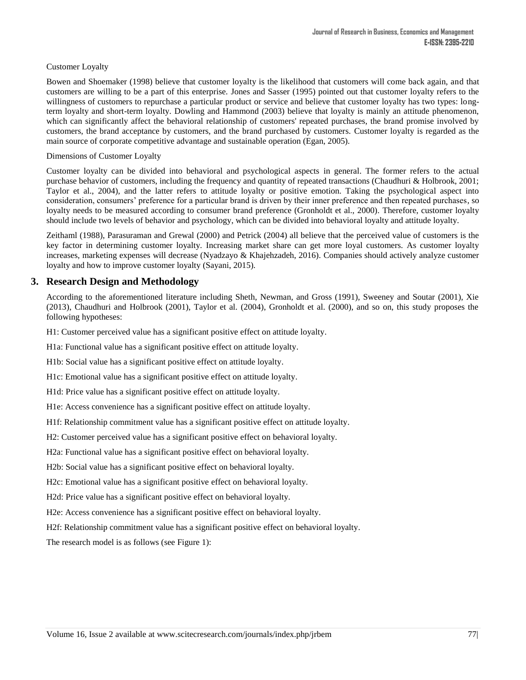## Customer Loyalty

Bowen and Shoemaker (1998) believe that customer loyalty is the likelihood that customers will come back again, and that customers are willing to be a part of this enterprise. Jones and Sasser (1995) pointed out that customer loyalty refers to the willingness of customers to repurchase a particular product or service and believe that customer loyalty has two types: longterm loyalty and short-term loyalty. Dowling and Hammond (2003) believe that loyalty is mainly an attitude phenomenon, which can significantly affect the behavioral relationship of customers' repeated purchases, the brand promise involved by customers, the brand acceptance by customers, and the brand purchased by customers. Customer loyalty is regarded as the main source of corporate competitive advantage and sustainable operation (Egan, 2005).

#### Dimensions of Customer Loyalty

Customer loyalty can be divided into behavioral and psychological aspects in general. The former refers to the actual purchase behavior of customers, including the frequency and quantity of repeated transactions (Chaudhuri & Holbrook, 2001; Taylor et al., 2004), and the latter refers to attitude loyalty or positive emotion. Taking the psychological aspect into consideration, consumers' preference for a particular brand is driven by their inner preference and then repeated purchases, so loyalty needs to be measured according to consumer brand preference (Gronholdt et al., 2000). Therefore, customer loyalty should include two levels of behavior and psychology, which can be divided into behavioral loyalty and attitude loyalty.

Zeithaml (1988), Parasuraman and Grewal (2000) and Petrick (2004) all believe that the perceived value of customers is the key factor in determining customer loyalty. Increasing market share can get more loyal customers. As customer loyalty increases, marketing expenses will decrease (Nyadzayo & Khajehzadeh, 2016). Companies should actively analyze customer loyalty and how to improve customer loyalty (Sayani, 2015).

## **3. Research Design and Methodology**

According to the aforementioned literature including Sheth, Newman, and Gross (1991), Sweeney and Soutar (2001), Xie (2013), Chaudhuri and Holbrook (2001), Taylor et al. (2004), Gronholdt et al. (2000), and so on, this study proposes the following hypotheses:

H1: Customer perceived value has a significant positive effect on attitude loyalty.

H1a: Functional value has a significant positive effect on attitude loyalty.

H1b: Social value has a significant positive effect on attitude loyalty.

H1c: Emotional value has a significant positive effect on attitude loyalty.

H1d: Price value has a significant positive effect on attitude loyalty.

H1e: Access convenience has a significant positive effect on attitude loyalty.

H1f: Relationship commitment value has a significant positive effect on attitude loyalty.

H2: Customer perceived value has a significant positive effect on behavioral loyalty.

H2a: Functional value has a significant positive effect on behavioral loyalty.

H2b: Social value has a significant positive effect on behavioral loyalty.

H2c: Emotional value has a significant positive effect on behavioral loyalty.

H2d: Price value has a significant positive effect on behavioral loyalty.

H2e: Access convenience has a significant positive effect on behavioral loyalty.

H2f: Relationship commitment value has a significant positive effect on behavioral loyalty.

The research model is as follows (see Figure 1):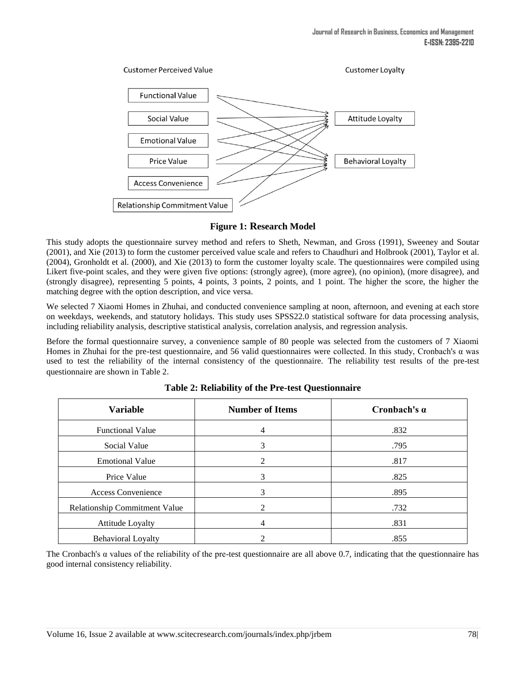

# **Figure 1: Research Model**

This study adopts the questionnaire survey method and refers to Sheth, Newman, and Gross (1991), Sweeney and Soutar (2001), and Xie (2013) to form the customer perceived value scale and refers to Chaudhuri and Holbrook (2001), Taylor et al. (2004), Gronholdt et al. (2000), and Xie (2013) to form the customer loyalty scale. The questionnaires were compiled using Likert five-point scales, and they were given five options: (strongly agree), (more agree), (no opinion), (more disagree), and (strongly disagree), representing 5 points, 4 points, 3 points, 2 points, and 1 point. The higher the score, the higher the matching degree with the option description, and vice versa.

We selected 7 Xiaomi Homes in Zhuhai, and conducted convenience sampling at noon, afternoon, and evening at each store on weekdays, weekends, and statutory holidays. This study uses SPSS22.0 statistical software for data processing analysis, including reliability analysis, descriptive statistical analysis, correlation analysis, and regression analysis.

Before the formal questionnaire survey, a convenience sample of 80 people was selected from the customers of 7 Xiaomi Homes in Zhuhai for the pre-test questionnaire, and 56 valid questionnaires were collected. In this study, Cronbach's α was used to test the reliability of the internal consistency of the questionnaire. The reliability test results of the pre-test questionnaire are shown in Table 2.

| <b>Variable</b>                      | <b>Number of Items</b> | Cronbach's $\alpha$ |
|--------------------------------------|------------------------|---------------------|
| <b>Functional Value</b>              | 4                      | .832                |
| Social Value                         | 3                      | .795                |
| <b>Emotional Value</b>               | 2                      | .817                |
| Price Value                          | 3                      | .825                |
| <b>Access Convenience</b>            | 3                      | .895                |
| <b>Relationship Commitment Value</b> | $\mathfrak{D}$         | .732                |
| Attitude Loyalty                     | 4                      | .831                |
| <b>Behavioral Loyalty</b>            | 2                      | .855                |

**Table 2: Reliability of the Pre-test Questionnaire**

The Cronbach's α values of the reliability of the pre-test questionnaire are all above 0.7, indicating that the questionnaire has good internal consistency reliability.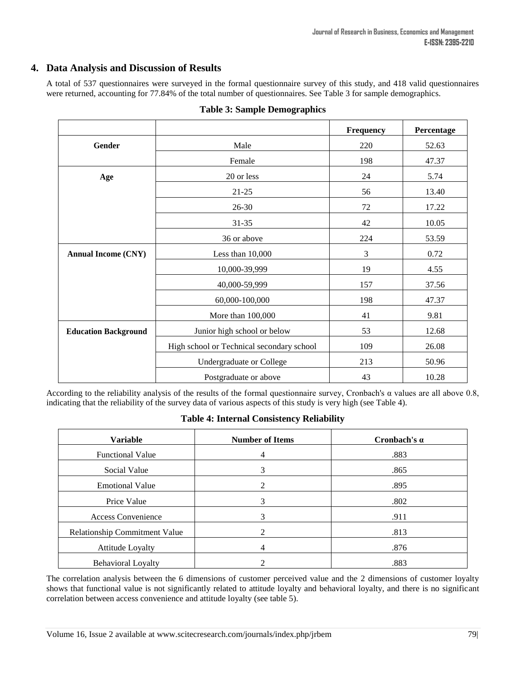# **4. Data Analysis and Discussion of Results**

A total of 537 questionnaires were surveyed in the formal questionnaire survey of this study, and 418 valid questionnaires were returned, accounting for 77.84% of the total number of questionnaires. See Table 3 for sample demographics.

|                             |                                           | Frequency      | Percentage |
|-----------------------------|-------------------------------------------|----------------|------------|
| Gender                      | Male                                      | 220            | 52.63      |
|                             | Female                                    | 198            | 47.37      |
| Age                         | 20 or less                                | 24             | 5.74       |
|                             | $21 - 25$                                 | 56             | 13.40      |
|                             | 26-30                                     | 72             | 17.22      |
|                             | $31 - 35$                                 | 42             | 10.05      |
|                             | 36 or above                               | 224            | 53.59      |
| <b>Annual Income (CNY)</b>  | Less than 10,000                          | $\mathfrak{Z}$ | 0.72       |
|                             | 10,000-39,999                             | 19             | 4.55       |
|                             | 40,000-59,999                             | 157            | 37.56      |
|                             | 60,000-100,000                            | 198            | 47.37      |
|                             | More than 100,000                         | 41             | 9.81       |
| <b>Education Background</b> | Junior high school or below               | 53             | 12.68      |
|                             | High school or Technical secondary school | 109            | 26.08      |
|                             | Undergraduate or College                  | 213            | 50.96      |
|                             | Postgraduate or above                     | 43             | 10.28      |

## **Table 3: Sample Demographics**

According to the reliability analysis of the results of the formal questionnaire survey, Cronbach's α values are all above 0.8, indicating that the reliability of the survey data of various aspects of this study is very high (see Table 4).

## **Table 4: Internal Consistency Reliability**

| <b>Variable</b>                      | <b>Number of Items</b>      | Cronbach's $\alpha$ |
|--------------------------------------|-----------------------------|---------------------|
| <b>Functional Value</b>              | 4                           | .883                |
| Social Value                         | 3                           | .865                |
| <b>Emotional Value</b>               | $\mathcal{D}_{\mathcal{A}}$ | .895                |
| Price Value                          | 3                           | .802                |
| <b>Access Convenience</b>            | 3                           | .911                |
| <b>Relationship Commitment Value</b> |                             | .813                |
| Attitude Loyalty                     | 4                           | .876                |
| <b>Behavioral Loyalty</b>            |                             | .883                |

The correlation analysis between the 6 dimensions of customer perceived value and the 2 dimensions of customer loyalty shows that functional value is not significantly related to attitude loyalty and behavioral loyalty, and there is no significant correlation between access convenience and attitude loyalty (see table 5).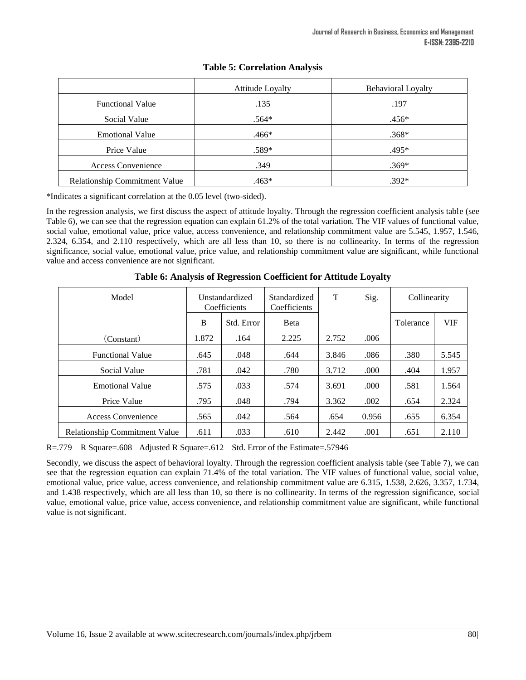|                               | <b>Attitude Loyalty</b> | <b>Behavioral Loyalty</b> |
|-------------------------------|-------------------------|---------------------------|
| <b>Functional Value</b>       | .135                    | .197                      |
| Social Value                  | $.564*$                 | $.456*$                   |
| <b>Emotional Value</b>        | .466*                   | $.368*$                   |
| Price Value                   | $.589*$                 | .495*                     |
| Access Convenience            | .349                    | $.369*$                   |
| Relationship Commitment Value | .463*                   | $.392*$                   |

## **Table 5: Correlation Analysis**

\*Indicates a significant correlation at the 0.05 level (two-sided).

In the regression analysis, we first discuss the aspect of attitude loyalty. Through the regression coefficient analysis table (see Table 6), we can see that the regression equation can explain 61.2% of the total variation. The VIF values of functional value, social value, emotional value, price value, access convenience, and relationship commitment value are 5.545, 1.957, 1.546, 2.324, 6.354, and 2.110 respectively, which are all less than 10, so there is no collinearity. In terms of the regression significance, social value, emotional value, price value, and relationship commitment value are significant, while functional value and access convenience are not significant.

| Model                                | <b>Unstandardized</b><br>Coefficients |            | Standardized<br>Coefficients | T     | Sig.  | Collinearity |       |
|--------------------------------------|---------------------------------------|------------|------------------------------|-------|-------|--------------|-------|
|                                      | B                                     | Std. Error | <b>B</b> eta                 |       |       | Tolerance    | VIF   |
| (Constant)                           | 1.872                                 | .164       | 2.225                        | 2.752 | .006  |              |       |
| <b>Functional Value</b>              | .645                                  | .048       | .644                         | 3.846 | .086  | .380         | 5.545 |
| Social Value                         | .781                                  | .042       | .780                         | 3.712 | .000  | .404         | 1.957 |
| <b>Emotional Value</b>               | .575                                  | .033       | .574                         | 3.691 | .000  | .581         | 1.564 |
| Price Value                          | .795                                  | .048       | .794                         | 3.362 | .002  | .654         | 2.324 |
| Access Convenience                   | .565                                  | .042       | .564                         | .654  | 0.956 | .655         | 6.354 |
| <b>Relationship Commitment Value</b> | .611                                  | .033       | .610                         | 2.442 | .001  | .651         | 2.110 |

**Table 6: Analysis of Regression Coefficient for Attitude Loyalty**

R=.779 R Square=.608 Adjusted R Square=.612 Std. Error of the Estimate=.57946

Secondly, we discuss the aspect of behavioral loyalty. Through the regression coefficient analysis table (see Table 7), we can see that the regression equation can explain 71.4% of the total variation. The VIF values of functional value, social value, emotional value, price value, access convenience, and relationship commitment value are 6.315, 1.538, 2.626, 3.357, 1.734, and 1.438 respectively, which are all less than 10, so there is no collinearity. In terms of the regression significance, social value, emotional value, price value, access convenience, and relationship commitment value are significant, while functional value is not significant.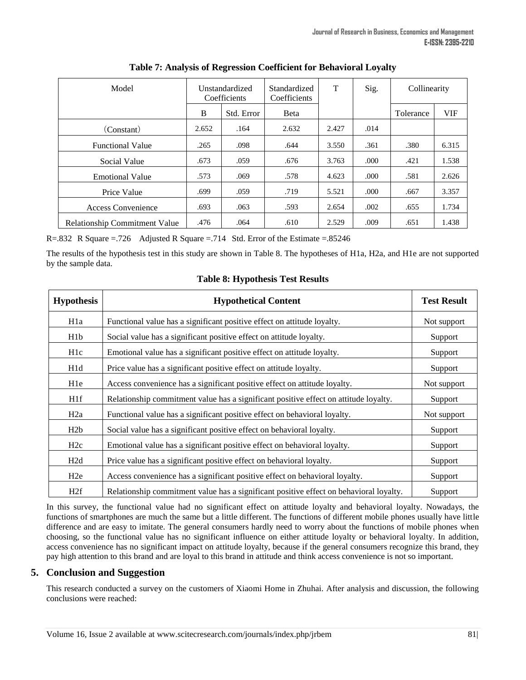| Model                                | Unstandardized<br>Coefficients |            | Standardized<br>Coefficients | T     | Sig. | Collinearity |            |
|--------------------------------------|--------------------------------|------------|------------------------------|-------|------|--------------|------------|
|                                      | B                              | Std. Error | <b>B</b> eta                 |       |      | Tolerance    | <b>VIF</b> |
| (Constant)                           | 2.652                          | .164       | 2.632                        | 2.427 | .014 |              |            |
| <b>Functional Value</b>              | .265                           | .098       | .644                         | 3.550 | .361 | .380         | 6.315      |
| Social Value                         | .673                           | .059       | .676                         | 3.763 | .000 | .421         | 1.538      |
| <b>Emotional Value</b>               | .573                           | .069       | .578                         | 4.623 | .000 | .581         | 2.626      |
| Price Value                          | .699                           | .059       | .719                         | 5.521 | .000 | .667         | 3.357      |
| <b>Access Convenience</b>            | .693                           | .063       | .593                         | 2.654 | .002 | .655         | 1.734      |
| <b>Relationship Commitment Value</b> | .476                           | .064       | .610                         | 2.529 | .009 | .651         | 1.438      |

R=.832 R Square =.726 Adjusted R Square =.714 Std. Error of the Estimate =.85246

The results of the hypothesis test in this study are shown in Table 8. The hypotheses of H1a, H2a, and H1e are not supported by the sample data.

| <b>Hypothesis</b> | <b>Hypothetical Content</b>                                                            | <b>Test Result</b> |
|-------------------|----------------------------------------------------------------------------------------|--------------------|
| H1a               | Functional value has a significant positive effect on attitude loyalty.                | Not support        |
| H1b               | Social value has a significant positive effect on attitude loyalty.                    | Support            |
| H <sub>1</sub> c  | Emotional value has a significant positive effect on attitude loyalty.                 | Support            |
| H <sub>1</sub> d  | Price value has a significant positive effect on attitude loyalty.                     | Support            |
| H <sub>1</sub> e  | Access convenience has a significant positive effect on attitude loyalty.              | Not support        |
| H1f               | Relationship commitment value has a significant positive effect on attitude loyalty.   | Support            |
| H2a               | Functional value has a significant positive effect on behavioral loyalty.              | Not support        |
| H2b               | Social value has a significant positive effect on behavioral loyalty.                  | Support            |
| H2c               | Emotional value has a significant positive effect on behavioral loyalty.               | Support            |
| H <sub>2</sub> d  | Price value has a significant positive effect on behavioral loyalty.                   | Support            |
| H2e               | Access convenience has a significant positive effect on behavioral loyalty.            | Support            |
| H2f               | Relationship commitment value has a significant positive effect on behavioral loyalty. | Support            |

## **Table 8: Hypothesis Test Results**

In this survey, the functional value had no significant effect on attitude loyalty and behavioral loyalty. Nowadays, the functions of smartphones are much the same but a little different. The functions of different mobile phones usually have little difference and are easy to imitate. The general consumers hardly need to worry about the functions of mobile phones when choosing, so the functional value has no significant influence on either attitude loyalty or behavioral loyalty. In addition, access convenience has no significant impact on attitude loyalty, because if the general consumers recognize this brand, they pay high attention to this brand and are loyal to this brand in attitude and think access convenience is not so important.

## **5. Conclusion and Suggestion**

This research conducted a survey on the customers of Xiaomi Home in Zhuhai. After analysis and discussion, the following conclusions were reached: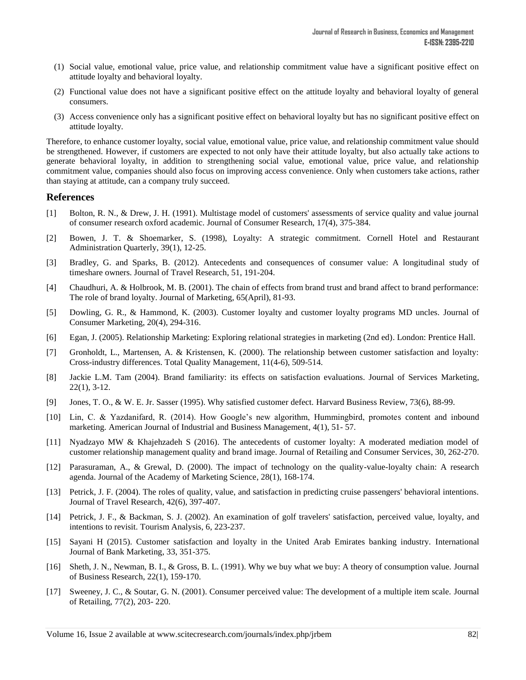- (1) Social value, emotional value, price value, and relationship commitment value have a significant positive effect on attitude loyalty and behavioral loyalty.
- (2) Functional value does not have a significant positive effect on the attitude loyalty and behavioral loyalty of general consumers.
- (3) Access convenience only has a significant positive effect on behavioral loyalty but has no significant positive effect on attitude loyalty.

Therefore, to enhance customer loyalty, social value, emotional value, price value, and relationship commitment value should be strengthened. However, if customers are expected to not only have their attitude loyalty, but also actually take actions to generate behavioral loyalty, in addition to strengthening social value, emotional value, price value, and relationship commitment value, companies should also focus on improving access convenience. Only when customers take actions, rather than staying at attitude, can a company truly succeed.

#### **References**

- [1] Bolton, R. N., & Drew, J. H. (1991). Multistage model of customers' assessments of service quality and value journal of consumer research oxford academic. Journal of Consumer Research, 17(4), 375-384.
- [2] Bowen, J. T. & Shoemarker, S. (1998), Loyalty: A strategic commitment. Cornell Hotel and Restaurant Administration Quarterly, 39(1), 12-25.
- [3] Bradley, G. and Sparks, B. (2012). Antecedents and consequences of consumer value: A longitudinal study of timeshare owners. Journal of Travel Research, 51, 191-204.
- [4] Chaudhuri, A. & Holbrook, M. B. (2001). The chain of effects from brand trust and brand affect to brand performance: The role of brand loyalty. Journal of Marketing, 65(April), 81-93.
- [5] Dowling, G. R., & Hammond, K. (2003). Customer loyalty and customer loyalty programs MD uncles. Journal of Consumer Marketing, 20(4), 294-316.
- [6] Egan, J. (2005). Relationship Marketing: Exploring relational strategies in marketing (2nd ed). London: Prentice Hall.
- [7] Gronholdt, L., Martensen, A. & Kristensen, K. (2000). The relationship between customer satisfaction and loyalty: Cross-industry differences. Total Quality Management, 11(4-6), 509-514.
- [8] Jackie L.M. Tam (2004). Brand familiarity: its effects on satisfaction evaluations. Journal of Services Marketing, 22(1), 3-12.
- [9] Jones, T. O., & W. E. Jr. Sasser (1995). Why satisfied customer defect. Harvard Business Review, 73(6), 88-99.
- [10] Lin, C. & Yazdanifard, R. (2014). How Google's new algorithm, Hummingbird, promotes content and inbound marketing. American Journal of Industrial and Business Management, 4(1), 51- 57.
- [11] Nyadzayo MW & Khajehzadeh S (2016). The antecedents of customer loyalty: A moderated mediation model of customer relationship management quality and brand image. Journal of Retailing and Consumer Services, 30, 262-270.
- [12] Parasuraman, A., & Grewal, D. (2000). The impact of technology on the quality-value-loyalty chain: A research agenda. Journal of the Academy of Marketing Science, 28(1), 168-174.
- [13] Petrick, J. F. (2004). The roles of quality, value, and satisfaction in predicting cruise passengers' behavioral intentions. Journal of Travel Research, 42(6), 397-407.
- [14] Petrick, J. F., & Backman, S. J. (2002). An examination of golf travelers' satisfaction, perceived value, loyalty, and intentions to revisit. Tourism Analysis, 6, 223-237.
- [15] Sayani H (2015). Customer satisfaction and loyalty in the United Arab Emirates banking industry. International Journal of Bank Marketing, 33, 351-375.
- [16] Sheth, J. N., Newman, B. I., & Gross, B. L. (1991). Why we buy what we buy: A theory of consumption value. Journal of Business Research, 22(1), 159-170.
- [17] Sweeney, J. C., & Soutar, G. N. (2001). Consumer perceived value: The development of a multiple item scale. Journal of Retailing, 77(2), 203- 220.